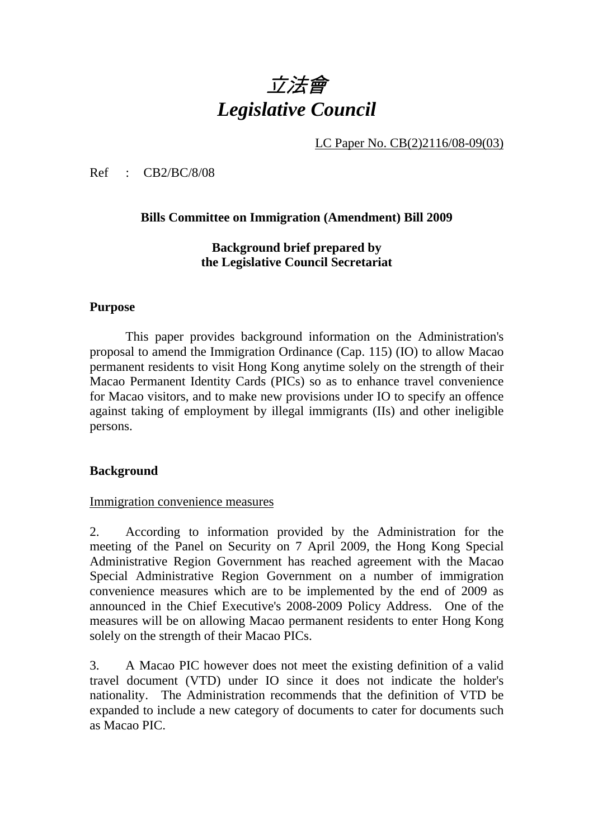# 立法會 *Legislative Council*

LC Paper No. CB(2)2116/08-09(03)

Ref : CB2/BC/8/08

## **Bills Committee on Immigration (Amendment) Bill 2009**

**Background brief prepared by the Legislative Council Secretariat** 

## **Purpose**

This paper provides background information on the Administration's proposal to amend the Immigration Ordinance (Cap. 115) (IO) to allow Macao permanent residents to visit Hong Kong anytime solely on the strength of their Macao Permanent Identity Cards (PICs) so as to enhance travel convenience for Macao visitors, and to make new provisions under IO to specify an offence against taking of employment by illegal immigrants (IIs) and other ineligible persons.

## **Background**

#### Immigration convenience measures

2. According to information provided by the Administration for the meeting of the Panel on Security on 7 April 2009, the Hong Kong Special Administrative Region Government has reached agreement with the Macao Special Administrative Region Government on a number of immigration convenience measures which are to be implemented by the end of 2009 as announced in the Chief Executive's 2008-2009 Policy Address. One of the measures will be on allowing Macao permanent residents to enter Hong Kong solely on the strength of their Macao PICs.

3. A Macao PIC however does not meet the existing definition of a valid travel document (VTD) under IO since it does not indicate the holder's nationality. The Administration recommends that the definition of VTD be expanded to include a new category of documents to cater for documents such as Macao PIC.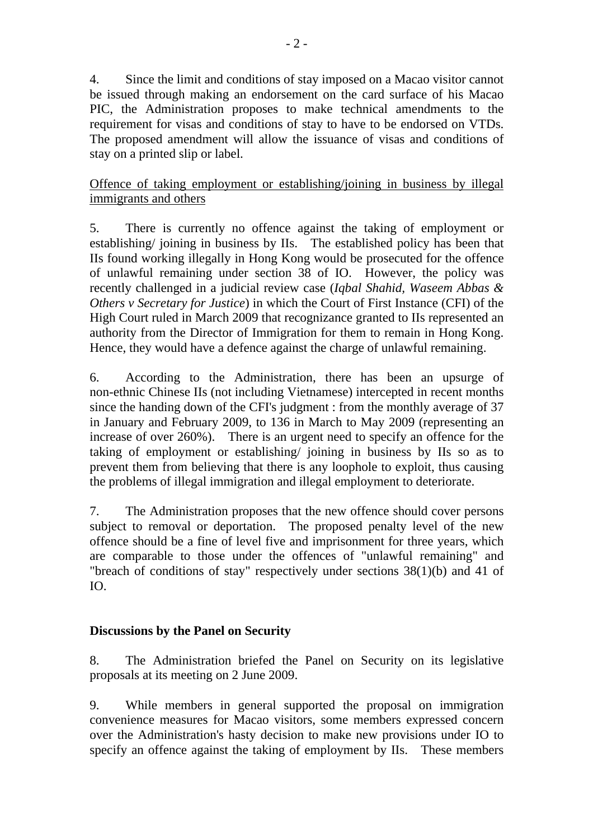4. Since the limit and conditions of stay imposed on a Macao visitor cannot be issued through making an endorsement on the card surface of his Macao PIC, the Administration proposes to make technical amendments to the requirement for visas and conditions of stay to have to be endorsed on VTDs. The proposed amendment will allow the issuance of visas and conditions of stay on a printed slip or label.

# Offence of taking employment or establishing/joining in business by illegal immigrants and others

5. There is currently no offence against the taking of employment or establishing/ joining in business by IIs. The established policy has been that IIs found working illegally in Hong Kong would be prosecuted for the offence of unlawful remaining under section 38 of IO. However, the policy was recently challenged in a judicial review case (*Iqbal Shahid, Waseem Abbas & Others v Secretary for Justice*) in which the Court of First Instance (CFI) of the High Court ruled in March 2009 that recognizance granted to IIs represented an authority from the Director of Immigration for them to remain in Hong Kong. Hence, they would have a defence against the charge of unlawful remaining.

6. According to the Administration, there has been an upsurge of non-ethnic Chinese IIs (not including Vietnamese) intercepted in recent months since the handing down of the CFI's judgment : from the monthly average of 37 in January and February 2009, to 136 in March to May 2009 (representing an increase of over 260%). There is an urgent need to specify an offence for the taking of employment or establishing/ joining in business by IIs so as to prevent them from believing that there is any loophole to exploit, thus causing the problems of illegal immigration and illegal employment to deteriorate.

7. The Administration proposes that the new offence should cover persons subject to removal or deportation. The proposed penalty level of the new offence should be a fine of level five and imprisonment for three years, which are comparable to those under the offences of "unlawful remaining" and "breach of conditions of stay" respectively under sections 38(1)(b) and 41 of IO.

# **Discussions by the Panel on Security**

8. The Administration briefed the Panel on Security on its legislative proposals at its meeting on 2 June 2009.

9. While members in general supported the proposal on immigration convenience measures for Macao visitors, some members expressed concern over the Administration's hasty decision to make new provisions under IO to specify an offence against the taking of employment by IIs. These members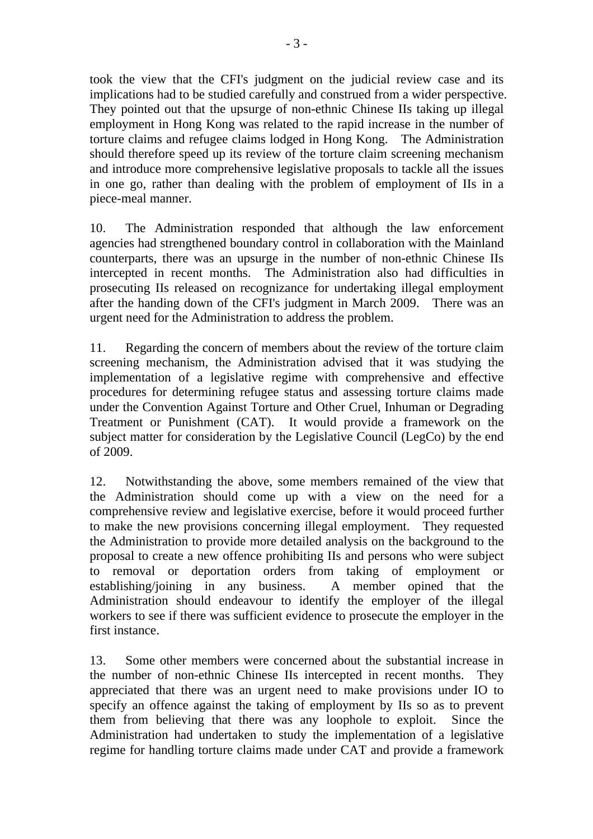took the view that the CFI's judgment on the judicial review case and its implications had to be studied carefully and construed from a wider perspective. They pointed out that the upsurge of non-ethnic Chinese IIs taking up illegal employment in Hong Kong was related to the rapid increase in the number of torture claims and refugee claims lodged in Hong Kong. The Administration should therefore speed up its review of the torture claim screening mechanism and introduce more comprehensive legislative proposals to tackle all the issues in one go, rather than dealing with the problem of employment of IIs in a piece-meal manner.

10. The Administration responded that although the law enforcement agencies had strengthened boundary control in collaboration with the Mainland counterparts, there was an upsurge in the number of non-ethnic Chinese IIs intercepted in recent months. The Administration also had difficulties in prosecuting IIs released on recognizance for undertaking illegal employment after the handing down of the CFI's judgment in March 2009. There was an urgent need for the Administration to address the problem.

11. Regarding the concern of members about the review of the torture claim screening mechanism, the Administration advised that it was studying the implementation of a legislative regime with comprehensive and effective procedures for determining refugee status and assessing torture claims made under the Convention Against Torture and Other Cruel, Inhuman or Degrading Treatment or Punishment (CAT). It would provide a framework on the subject matter for consideration by the Legislative Council (LegCo) by the end of 2009.

12. Notwithstanding the above, some members remained of the view that the Administration should come up with a view on the need for a comprehensive review and legislative exercise, before it would proceed further to make the new provisions concerning illegal employment. They requested the Administration to provide more detailed analysis on the background to the proposal to create a new offence prohibiting IIs and persons who were subject to removal or deportation orders from taking of employment or establishing/joining in any business. A member opined that the Administration should endeavour to identify the employer of the illegal workers to see if there was sufficient evidence to prosecute the employer in the first instance.

13. Some other members were concerned about the substantial increase in the number of non-ethnic Chinese IIs intercepted in recent months. They appreciated that there was an urgent need to make provisions under IO to specify an offence against the taking of employment by IIs so as to prevent them from believing that there was any loophole to exploit. Since the Administration had undertaken to study the implementation of a legislative regime for handling torture claims made under CAT and provide a framework